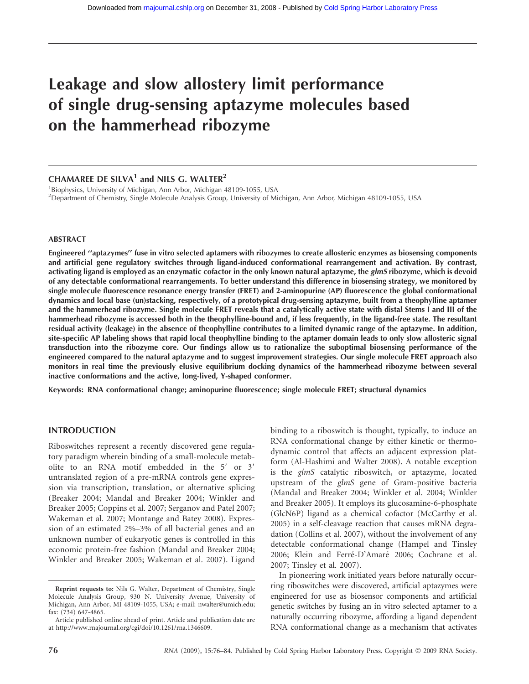# Leakage and slow allostery limit performance of single drug-sensing aptazyme molecules based on the hammerhead ribozyme

## CHAMAREE DE SILVA<sup>1</sup> and NILS G. WALTER<sup>2</sup>

<sup>1</sup>Biophysics, University of Michigan, Ann Arbor, Michigan 48109-1055, USA 2 Department of Chemistry, Single Molecule Analysis Group, University of Michigan, Ann Arbor, Michigan 48109-1055, USA

#### ABSTRACT

Engineered ''aptazymes'' fuse in vitro selected aptamers with ribozymes to create allosteric enzymes as biosensing components and artificial gene regulatory switches through ligand-induced conformational rearrangement and activation. By contrast, activating ligand is employed as an enzymatic cofactor in the only known natural aptazyme, the glmS ribozyme, which is devoid of any detectable conformational rearrangements. To better understand this difference in biosensing strategy, we monitored by single molecule fluorescence resonance energy transfer (FRET) and 2-aminopurine (AP) fluorescence the global conformational dynamics and local base (un)stacking, respectively, of a prototypical drug-sensing aptazyme, built from a theophylline aptamer and the hammerhead ribozyme. Single molecule FRET reveals that a catalytically active state with distal Stems I and III of the hammerhead ribozyme is accessed both in the theophylline-bound and, if less frequently, in the ligand-free state. The resultant residual activity (leakage) in the absence of theophylline contributes to a limited dynamic range of the aptazyme. In addition, site-specific AP labeling shows that rapid local theophylline binding to the aptamer domain leads to only slow allosteric signal transduction into the ribozyme core. Our findings allow us to rationalize the suboptimal biosensing performance of the engineered compared to the natural aptazyme and to suggest improvement strategies. Our single molecule FRET approach also monitors in real time the previously elusive equilibrium docking dynamics of the hammerhead ribozyme between several inactive conformations and the active, long-lived, Y-shaped conformer.

Keywords: RNA conformational change; aminopurine fluorescence; single molecule FRET; structural dynamics

#### INTRODUCTION

Riboswitches represent a recently discovered gene regulatory paradigm wherein binding of a small-molecule metabolite to an RNA motif embedded in the  $5'$  or  $3'$ untranslated region of a pre-mRNA controls gene expression via transcription, translation, or alternative splicing (Breaker 2004; Mandal and Breaker 2004; Winkler and Breaker 2005; Coppins et al. 2007; Serganov and Patel 2007; Wakeman et al. 2007; Montange and Batey 2008). Expression of an estimated 2%–3% of all bacterial genes and an unknown number of eukaryotic genes is controlled in this economic protein-free fashion (Mandal and Breaker 2004; Winkler and Breaker 2005; Wakeman et al. 2007). Ligand

binding to a riboswitch is thought, typically, to induce an RNA conformational change by either kinetic or thermodynamic control that affects an adjacent expression platform (Al-Hashimi and Walter 2008). A notable exception is the glmS catalytic riboswitch, or aptazyme, located upstream of the glmS gene of Gram-positive bacteria (Mandal and Breaker 2004; Winkler et al. 2004; Winkler and Breaker 2005). It employs its glucosamine-6-phosphate (GlcN6P) ligand as a chemical cofactor (McCarthy et al. 2005) in a self-cleavage reaction that causes mRNA degradation (Collins et al. 2007), without the involvement of any detectable conformational change (Hampel and Tinsley 2006; Klein and Ferré-D'Amaré 2006; Cochrane et al. 2007; Tinsley et al. 2007).

In pioneering work initiated years before naturally occurring riboswitches were discovered, artificial aptazymes were engineered for use as biosensor components and artificial genetic switches by fusing an in vitro selected aptamer to a naturally occurring ribozyme, affording a ligand dependent RNA conformational change as a mechanism that activates

Reprint requests to: Nils G. Walter, Department of Chemistry, Single Molecule Analysis Group, 930 N. University Avenue, University of Michigan, Ann Arbor, MI 48109-1055, USA; e-mail: nwalter@umich.edu; fax: (734) 647-4865.

Article published online ahead of print. Article and publication date are at http://www.rnajournal.org/cgi/doi/10.1261/rna.1346609.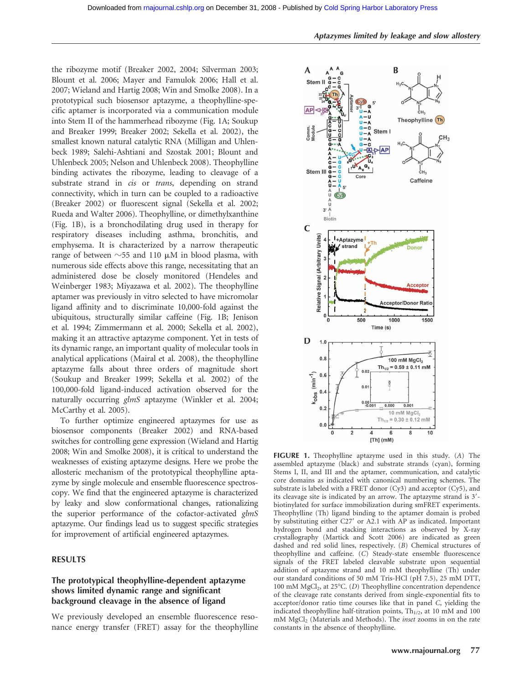the ribozyme motif (Breaker 2002, 2004; Silverman 2003; Blount et al. 2006; Mayer and Famulok 2006; Hall et al. 2007; Wieland and Hartig 2008; Win and Smolke 2008). In a prototypical such biosensor aptazyme, a theophylline-specific aptamer is incorporated via a communication module into Stem II of the hammerhead ribozyme (Fig. 1A; Soukup and Breaker 1999; Breaker 2002; Sekella et al. 2002), the smallest known natural catalytic RNA (Milligan and Uhlenbeck 1989; Salehi-Ashtiani and Szostak 2001; Blount and Uhlenbeck 2005; Nelson and Uhlenbeck 2008). Theophylline binding activates the ribozyme, leading to cleavage of a substrate strand in *cis* or *trans*, depending on strand connectivity, which in turn can be coupled to a radioactive (Breaker 2002) or fluorescent signal (Sekella et al. 2002; Rueda and Walter 2006). Theophylline, or dimethylxanthine (Fig. 1B), is a bronchodilating drug used in therapy for respiratory diseases including asthma, bronchitis, and emphysema. It is characterized by a narrow therapeutic range of between  $\sim$  55 and 110  $\mu$ M in blood plasma, with numerous side effects above this range, necessitating that an administered dose be closely monitored (Hendeles and Weinberger 1983; Miyazawa et al. 2002). The theophylline aptamer was previously in vitro selected to have micromolar ligand affinity and to discriminate 10,000-fold against the ubiquitous, structurally similar caffeine (Fig. 1B; Jenison et al. 1994; Zimmermann et al. 2000; Sekella et al. 2002), making it an attractive aptazyme component. Yet in tests of its dynamic range, an important quality of molecular tools in analytical applications (Mairal et al. 2008), the theophylline aptazyme falls about three orders of magnitude short (Soukup and Breaker 1999; Sekella et al. 2002) of the 100,000-fold ligand-induced activation observed for the naturally occurring glmS aptazyme (Winkler et al. 2004; McCarthy et al. 2005).

To further optimize engineered aptazymes for use as biosensor components (Breaker 2002) and RNA-based switches for controlling gene expression (Wieland and Hartig 2008; Win and Smolke 2008), it is critical to understand the weaknesses of existing aptazyme designs. Here we probe the allosteric mechanism of the prototypical theophylline aptazyme by single molecule and ensemble fluorescence spectroscopy. We find that the engineered aptazyme is characterized by leaky and slow conformational changes, rationalizing the superior performance of the cofactor-activated glmS aptazyme. Our findings lead us to suggest specific strategies for improvement of artificial engineered aptazymes.

# RESULTS

# The prototypical theophylline-dependent aptazyme shows limited dynamic range and significant background cleavage in the absence of ligand

We previously developed an ensemble fluorescence resonance energy transfer (FRET) assay for the theophylline



FIGURE 1. Theophylline aptazyme used in this study. (A) The assembled aptazyme (black) and substrate strands (cyan), forming Stems I, II, and III and the aptamer, communication, and catalytic core domains as indicated with canonical numbering schemes. The substrate is labeled with a FRET donor (Cy3) and acceptor (Cy5), and its cleavage site is indicated by an arrow. The aptazyme strand is 3'biotinylated for surface immobilization during smFRET experiments. Theophylline (Th) ligand binding to the aptamer domain is probed by substituting either C27' or A2.1 with AP as indicated. Important hydrogen bond and stacking interactions as observed by X-ray crystallography (Martick and Scott 2006) are indicated as green dashed and red solid lines, respectively. (B) Chemical structures of theophylline and caffeine. (C) Steady-state ensemble fluorescence signals of the FRET labeled cleavable substrate upon sequential addition of aptazyme strand and 10 mM theophylline (Th) under our standard conditions of 50 mM Tris-HCl (pH 7.5), 25 mM DTT, 100 mM  $MgCl<sub>2</sub>$ , at 25°C. (D) Theophylline concentration dependence of the cleavage rate constants derived from single-exponential fits to acceptor/donor ratio time courses like that in panel C, yielding the indicated theophylline half-titration points,  $Th<sub>1/2</sub>$ , at 10 mM and 100 mM MgCl<sub>2</sub> (Materials and Methods). The *inset* zooms in on the rate constants in the absence of theophylline.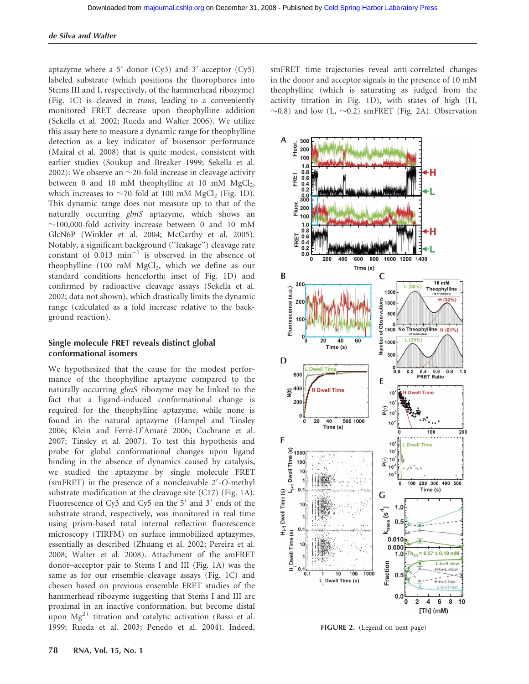aptazyme where a  $5'$ -donor (Cy3) and  $3'$ -acceptor (Cy5) labeled substrate (which positions the fluorophores into Stems III and I, respectively, of the hammerhead ribozyme) (Fig. 1C) is cleaved in trans, leading to a conveniently monitored FRET decrease upon theophylline addition (Sekella et al. 2002; Rueda and Walter 2006). We utilize this assay here to measure a dynamic range for theophylline detection as a key indicator of biosensor performance (Mairal et al. 2008) that is quite modest, consistent with earlier studies (Soukup and Breaker 1999; Sekella et al. 2002): We observe an  $\sim$ 20-fold increase in cleavage activity between 0 and 10 mM theophylline at 10 mM  $MgCl<sub>2</sub>$ , which increases to  $\sim$ 70-fold at 100 mM MgCl<sub>2</sub> (Fig. 1D). This dynamic range does not measure up to that of the naturally occurring glmS aptazyme, which shows an  $\sim$ 100,000-fold activity increase between 0 and 10 mM GlcN6P (Winkler et al. 2004; McCarthy et al. 2005). Notably, a significant background (''leakage'') cleavage rate constant of  $0.013$   $\text{min}^{-1}$  is observed in the absence of theophylline (100 mM  $MgCl<sub>2</sub>$ , which we define as our standard conditions henceforth; inset of Fig. 1D) and confirmed by radioactive cleavage assays (Sekella et al. 2002; data not shown), which drastically limits the dynamic range (calculated as a fold increase relative to the background reaction).

# Single molecule FRET reveals distinct global conformational isomers

We hypothesized that the cause for the modest performance of the theophylline aptazyme compared to the naturally occurring *glmS* ribozyme may be linked to the fact that a ligand-induced conformational change is required for the theophylline aptazyme, while none is found in the natural aptazyme (Hampel and Tinsley 2006; Klein and Ferré-D'Amaré 2006; Cochrane et al. 2007; Tinsley et al. 2007). To test this hypothesis and probe for global conformational changes upon ligand binding in the absence of dynamics caused by catalysis, we studied the aptazyme by single molecule FRET (smFRET) in the presence of a noncleavable 2'-O-methyl substrate modification at the cleavage site (C17) (Fig. 1A). Fluorescence of Cy3 and Cy5 on the  $5'$  and  $3'$  ends of the substrate strand, respectively, was monitored in real time using prism-based total internal reflection fluorescence microscopy (TIRFM) on surface immobilized aptazymes, essentially as described (Zhuang et al. 2002; Pereira et al. 2008; Walter et al. 2008). Attachment of the smFRET donor–acceptor pair to Stems I and III (Fig. 1A) was the same as for our ensemble cleavage assays (Fig. 1C) and chosen based on previous ensemble FRET studies of the hammerhead ribozyme suggesting that Stems I and III are proximal in an inactive conformation, but become distal upon  $Mg^{2+}$  titration and catalytic activation (Bassi et al. 1999; Rueda et al. 2003; Penedo et al. 2004). Indeed, smFRET time trajectories reveal anti-correlated changes in the donor and acceptor signals in the presence of 10 mM theophylline (which is saturating as judged from the activity titration in Fig. 1D), with states of high (H,  $\sim$ 0.8) and low (L,  $\sim$ 0.2) smFRET (Fig. 2A). Observation



FIGURE 2. (Legend on next page)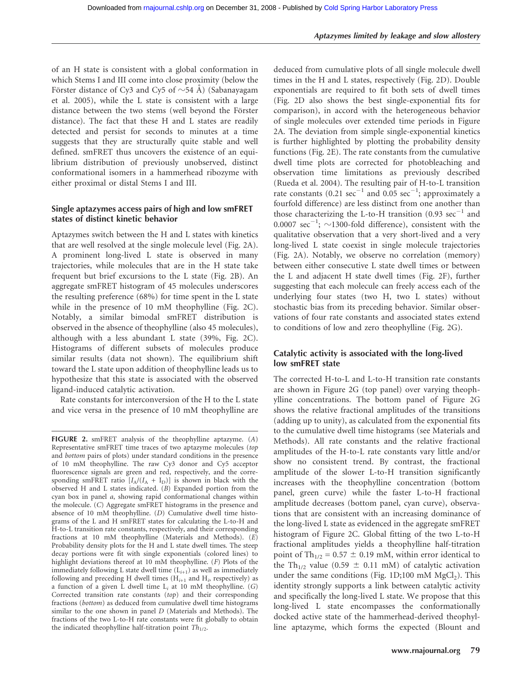of an H state is consistent with a global conformation in which Stems I and III come into close proximity (below the Förster distance of Cy3 and Cy5 of  $\sim$ 54 Å) (Sabanayagam et al. 2005), while the L state is consistent with a large distance between the two stems (well beyond the Förster distance). The fact that these H and L states are readily detected and persist for seconds to minutes at a time suggests that they are structurally quite stable and well defined. smFRET thus uncovers the existence of an equilibrium distribution of previously unobserved, distinct conformational isomers in a hammerhead ribozyme with either proximal or distal Stems I and III.

# Single aptazymes access pairs of high and low smFRET states of distinct kinetic behavior

Aptazymes switch between the H and L states with kinetics that are well resolved at the single molecule level (Fig. 2A). A prominent long-lived L state is observed in many trajectories, while molecules that are in the H state take frequent but brief excursions to the L state (Fig. 2B). An aggregate smFRET histogram of 45 molecules underscores the resulting preference (68%) for time spent in the L state while in the presence of 10 mM theophylline (Fig. 2C). Notably, a similar bimodal smFRET distribution is observed in the absence of theophylline (also 45 molecules), although with a less abundant L state (39%, Fig. 2C). Histograms of different subsets of molecules produce similar results (data not shown). The equilibrium shift toward the L state upon addition of theophylline leads us to hypothesize that this state is associated with the observed ligand-induced catalytic activation.

Rate constants for interconversion of the H to the L state and vice versa in the presence of 10 mM theophylline are

deduced from cumulative plots of all single molecule dwell times in the H and L states, respectively (Fig. 2D). Double exponentials are required to fit both sets of dwell times (Fig. 2D also shows the best single-exponential fits for comparison), in accord with the heterogeneous behavior of single molecules over extended time periods in Figure 2A. The deviation from simple single-exponential kinetics is further highlighted by plotting the probability density functions (Fig. 2E). The rate constants from the cumulative dwell time plots are corrected for photobleaching and observation time limitations as previously described (Rueda et al. 2004). The resulting pair of H-to-L transition rate constants  $(0.21 \text{ sec}^{-1} \text{ and } 0.05 \text{ sec}^{-1} \text{; approximately a}$ fourfold difference) are less distinct from one another than those characterizing the L-to-H transition  $(0.93 \text{ sec}^{-1}$  and 0.0007  $\sec^{-1}$ ;  $\sim$ 1300-fold difference), consistent with the qualitative observation that a very short-lived and a very long-lived L state coexist in single molecule trajectories (Fig. 2A). Notably, we observe no correlation (memory) between either consecutive L state dwell times or between the L and adjacent H state dwell times (Fig. 2F), further suggesting that each molecule can freely access each of the underlying four states (two H, two L states) without stochastic bias from its preceding behavior. Similar observations of four rate constants and associated states extend to conditions of low and zero theophylline (Fig. 2G).

# Catalytic activity is associated with the long-lived low smFRET state

The corrected H-to-L and L-to-H transition rate constants are shown in Figure 2G (top panel) over varying theophylline concentrations. The bottom panel of Figure 2G shows the relative fractional amplitudes of the transitions (adding up to unity), as calculated from the exponential fits to the cumulative dwell time histograms (see Materials and Methods). All rate constants and the relative fractional amplitudes of the H-to-L rate constants vary little and/or show no consistent trend. By contrast, the fractional amplitude of the slower L-to-H transition significantly increases with the theophylline concentration (bottom panel, green curve) while the faster L-to-H fractional amplitude decreases (bottom panel, cyan curve), observations that are consistent with an increasing dominance of the long-lived L state as evidenced in the aggregate smFRET histogram of Figure 2C. Global fitting of the two L-to-H fractional amplitudes yields a theophylline half-titration point of Th<sub>1/2</sub> = 0.57  $\pm$  0.19 mM, within error identical to the Th<sub>1/2</sub> value (0.59  $\pm$  0.11 mM) of catalytic activation under the same conditions (Fig. 1D;100 mM  $MgCl<sub>2</sub>$ ). This identity strongly supports a link between catalytic activity and specifically the long-lived L state. We propose that this long-lived L state encompasses the conformationally docked active state of the hammerhead-derived theophylline aptazyme, which forms the expected (Blount and

FIGURE 2. smFRET analysis of the theophylline aptazyme. (A) Representative smFRET time traces of two aptazyme molecules (top and bottom pairs of plots) under standard conditions in the presence of 10 mM theophylline. The raw Cy3 donor and Cy5 acceptor fluorescence signals are green and red, respectively, and the corresponding smFRET ratio  $[I_A/(I_A + I_D)]$  is shown in black with the observed H and L states indicated. (B) Expanded portion from the cyan box in panel a, showing rapid conformational changes within the molecule. (C) Aggregate smFRET histograms in the presence and absence of 10 mM theophylline. (D) Cumulative dwell time histograms of the L and H smFRET states for calculating the L-to-H and H-to-L transition rate constants, respectively, and their corresponding fractions at 10 mM theophylline (Materials and Methods). (E) Probability density plots for the H and L state dwell times. The steep decay portions were fit with single exponentials (colored lines) to highlight deviations thereof at 10 mM theophylline. (F) Plots of the immediately following L state dwell time  $(L_{i+1})$  as well as immediately following and preceding H dwell times  $(H_{i+1}$  and  $H_i$ , respectively) as a function of a given L dwell time  $L_i$  at 10 mM theophylline. (G) Corrected transition rate constants (top) and their corresponding fractions (bottom) as deduced from cumulative dwell time histograms similar to the one shown in panel D (Materials and Methods). The fractions of the two L-to-H rate constants were fit globally to obtain the indicated theophylline half-titration point  $Th_{1/2}$ .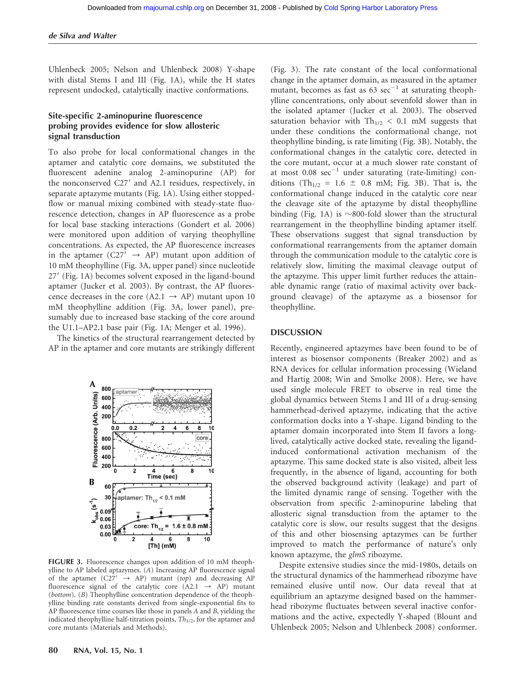Uhlenbeck 2005; Nelson and Uhlenbeck 2008) Y-shape with distal Stems I and III (Fig. 1A), while the H states represent undocked, catalytically inactive conformations.

# Site-specific 2-aminopurine fluorescence probing provides evidence for slow allosteric signal transduction

To also probe for local conformational changes in the aptamer and catalytic core domains, we substituted the fluorescent adenine analog 2-aminopurine (AP) for the nonconserved C27' and A2.1 residues, respectively, in separate aptazyme mutants (Fig. 1A). Using either stoppedflow or manual mixing combined with steady-state fluorescence detection, changes in AP fluorescence as a probe for local base stacking interactions (Gondert et al. 2006) were monitored upon addition of varying theophylline concentrations. As expected, the AP fluorescence increases in the aptamer (C27'  $\rightarrow$  AP) mutant upon addition of 10 mM theophylline (Fig. 3A, upper panel) since nucleotide 27' (Fig. 1A) becomes solvent exposed in the ligand-bound aptamer (Jucker et al. 2003). By contrast, the AP fluorescence decreases in the core (A2.1  $\rightarrow$  AP) mutant upon 10 mM theophylline addition (Fig. 3A, lower panel), presumably due to increased base stacking of the core around the U1.1–AP2.1 base pair (Fig. 1A; Menger et al. 1996).

The kinetics of the structural rearrangement detected by AP in the aptamer and core mutants are strikingly different



FIGURE 3. Fluorescence changes upon addition of 10 mM theophylline to AP labeled aptazymes. (A) Increasing AP fluorescence signal of the aptamer (C27'  $\rightarrow$  AP) mutant (top) and decreasing AP fluorescence signal of the catalytic core  $(A2.1 \rightarrow AP)$  mutant (bottom). (B) Theophylline concentration dependence of the theophylline binding rate constants derived from single-exponential fits to AP fluorescence time courses like those in panels A and B, yielding the indicated theophylline half-titration points,  $Th<sub>1/2</sub>$ , for the aptamer and core mutants (Materials and Methods).

(Fig. 3). The rate constant of the local conformational change in the aptamer domain, as measured in the aptamer mutant, becomes as fast as  $63 \text{ sec}^{-1}$  at saturating theophylline concentrations, only about sevenfold slower than in the isolated aptamer (Jucker et al. 2003). The observed saturation behavior with  $Th_{1/2} < 0.1$  mM suggests that under these conditions the conformational change, not theophylline binding, is rate limiting (Fig. 3B). Notably, the conformational changes in the catalytic core, detected in the core mutant, occur at a much slower rate constant of at most  $0.08 \text{ sec}^{-1}$  under saturating (rate-limiting) conditions (Th<sub>1/2</sub> = 1.6  $\pm$  0.8 mM; Fig. 3B). That is, the conformational change induced in the catalytic core near the cleavage site of the aptazyme by distal theophylline binding (Fig. 1A) is  $\sim$ 800-fold slower than the structural rearrangement in the theophylline binding aptamer itself. These observations suggest that signal transduction by conformational rearrangements from the aptamer domain through the communication module to the catalytic core is relatively slow, limiting the maximal cleavage output of the aptazyme. This upper limit further reduces the attainable dynamic range (ratio of maximal activity over background cleavage) of the aptazyme as a biosensor for theophylline.

## DISCUSSION

Recently, engineered aptazymes have been found to be of interest as biosensor components (Breaker 2002) and as RNA devices for cellular information processing (Wieland and Hartig 2008; Win and Smolke 2008). Here, we have used single molecule FRET to observe in real time the global dynamics between Stems I and III of a drug-sensing hammerhead-derived aptazyme, indicating that the active conformation docks into a Y-shape. Ligand binding to the aptamer domain incorporated into Stem II favors a longlived, catalytically active docked state, revealing the ligandinduced conformational activation mechanism of the aptazyme. This same docked state is also visited, albeit less frequently, in the absence of ligand, accounting for both the observed background activity (leakage) and part of the limited dynamic range of sensing. Together with the observation from specific 2-aminopurine labeling that allosteric signal transduction from the aptamer to the catalytic core is slow, our results suggest that the designs of this and other biosensing aptazymes can be further improved to match the performance of nature's only known aptazyme, the glmS ribozyme.

Despite extensive studies since the mid-1980s, details on the structural dynamics of the hammerhead ribozyme have remained elusive until now. Our data reveal that at equilibrium an aptazyme designed based on the hammerhead ribozyme fluctuates between several inactive conformations and the active, expectedly Y-shaped (Blount and Uhlenbeck 2005; Nelson and Uhlenbeck 2008) conformer.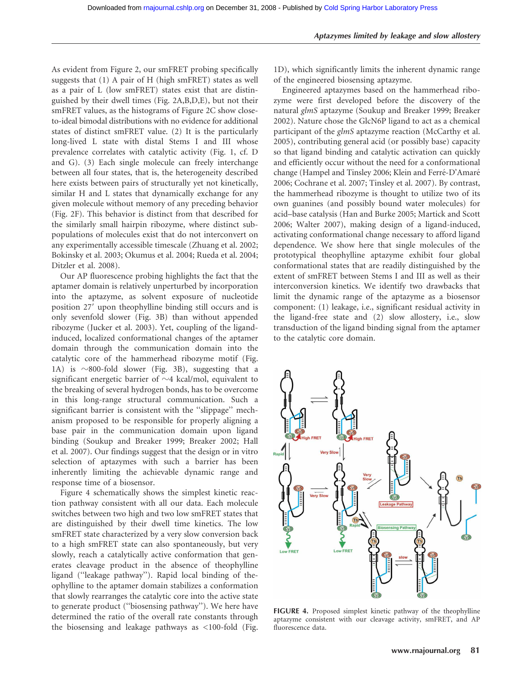As evident from Figure 2, our smFRET probing specifically suggests that (1) A pair of H (high smFRET) states as well as a pair of L (low smFRET) states exist that are distinguished by their dwell times (Fig. 2A,B,D,E), but not their smFRET values, as the histograms of Figure 2C show closeto-ideal bimodal distributions with no evidence for additional states of distinct smFRET value. (2) It is the particularly long-lived L state with distal Stems I and III whose prevalence correlates with catalytic activity (Fig. 1, cf. D and G). (3) Each single molecule can freely interchange between all four states, that is, the heterogeneity described here exists between pairs of structurally yet not kinetically, similar H and L states that dynamically exchange for any given molecule without memory of any preceding behavior (Fig. 2F). This behavior is distinct from that described for the similarly small hairpin ribozyme, where distinct subpopulations of molecules exist that do not interconvert on any experimentally accessible timescale (Zhuang et al. 2002; Bokinsky et al. 2003; Okumus et al. 2004; Rueda et al. 2004; Ditzler et al. 2008).

Our AP fluorescence probing highlights the fact that the aptamer domain is relatively unperturbed by incorporation into the aptazyme, as solvent exposure of nucleotide position 27' upon theophylline binding still occurs and is only sevenfold slower (Fig. 3B) than without appended ribozyme (Jucker et al. 2003). Yet, coupling of the ligandinduced, localized conformational changes of the aptamer domain through the communication domain into the catalytic core of the hammerhead ribozyme motif (Fig. 1A) is  $\sim$ 800-fold slower (Fig. 3B), suggesting that a significant energetic barrier of  $\sim$ 4 kcal/mol, equivalent to the breaking of several hydrogen bonds, has to be overcome in this long-range structural communication. Such a significant barrier is consistent with the ''slippage'' mechanism proposed to be responsible for properly aligning a base pair in the communication domain upon ligand binding (Soukup and Breaker 1999; Breaker 2002; Hall et al. 2007). Our findings suggest that the design or in vitro selection of aptazymes with such a barrier has been inherently limiting the achievable dynamic range and response time of a biosensor.

Figure 4 schematically shows the simplest kinetic reaction pathway consistent with all our data. Each molecule switches between two high and two low smFRET states that are distinguished by their dwell time kinetics. The low smFRET state characterized by a very slow conversion back to a high smFRET state can also spontaneously, but very slowly, reach a catalytically active conformation that generates cleavage product in the absence of theophylline ligand (''leakage pathway''). Rapid local binding of theophylline to the aptamer domain stabilizes a conformation that slowly rearranges the catalytic core into the active state to generate product (''biosensing pathway''). We here have determined the ratio of the overall rate constants through the biosensing and leakage pathways as <100-fold (Fig.

1D), which significantly limits the inherent dynamic range of the engineered biosensing aptazyme.

Engineered aptazymes based on the hammerhead ribozyme were first developed before the discovery of the natural glmS aptazyme (Soukup and Breaker 1999; Breaker 2002). Nature chose the GlcN6P ligand to act as a chemical participant of the glmS aptazyme reaction (McCarthy et al. 2005), contributing general acid (or possibly base) capacity so that ligand binding and catalytic activation can quickly and efficiently occur without the need for a conformational change (Hampel and Tinsley 2006; Klein and Ferré-D'Amaré 2006; Cochrane et al. 2007; Tinsley et al. 2007). By contrast, the hammerhead ribozyme is thought to utilize two of its own guanines (and possibly bound water molecules) for acid–base catalysis (Han and Burke 2005; Martick and Scott 2006; Walter 2007), making design of a ligand-induced, activating conformational change necessary to afford ligand dependence. We show here that single molecules of the prototypical theophylline aptazyme exhibit four global conformational states that are readily distinguished by the extent of smFRET between Stems I and III as well as their interconversion kinetics. We identify two drawbacks that limit the dynamic range of the aptazyme as a biosensor component: (1) leakage, i.e., significant residual activity in the ligand-free state and (2) slow allostery, i.e., slow transduction of the ligand binding signal from the aptamer to the catalytic core domain.



FIGURE 4. Proposed simplest kinetic pathway of the theophylline aptazyme consistent with our cleavage activity, smFRET, and AP fluorescence data.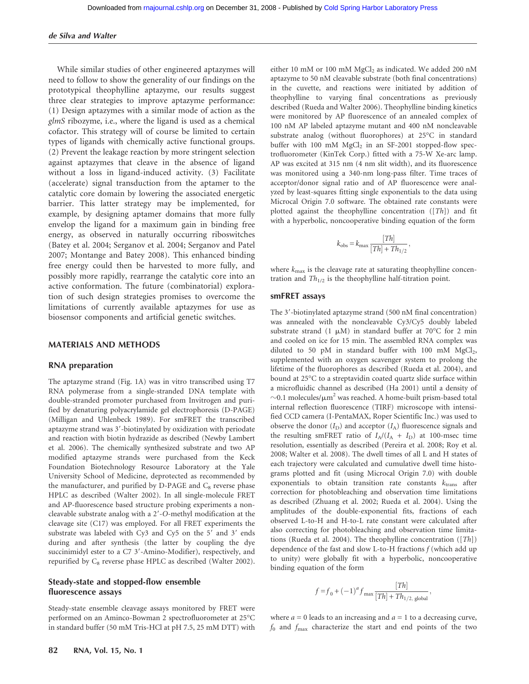## de Silva and Walter

While similar studies of other engineered aptazymes will need to follow to show the generality of our findings on the prototypical theophylline aptazyme, our results suggest three clear strategies to improve aptazyme performance: (1) Design aptazymes with a similar mode of action as the glmS ribozyme, i.e., where the ligand is used as a chemical cofactor. This strategy will of course be limited to certain types of ligands with chemically active functional groups. (2) Prevent the leakage reaction by more stringent selection against aptazymes that cleave in the absence of ligand without a loss in ligand-induced activity. (3) Facilitate (accelerate) signal transduction from the aptamer to the catalytic core domain by lowering the associated energetic barrier. This latter strategy may be implemented, for example, by designing aptamer domains that more fully envelop the ligand for a maximum gain in binding free energy, as observed in naturally occurring riboswitches (Batey et al. 2004; Serganov et al. 2004; Serganov and Patel 2007; Montange and Batey 2008). This enhanced binding free energy could then be harvested to more fully, and possibly more rapidly, rearrange the catalytic core into an active conformation. The future (combinatorial) exploration of such design strategies promises to overcome the limitations of currently available aptazymes for use as biosensor components and artificial genetic switches.

## MATERIALS AND METHODS

## RNA preparation

The aptazyme strand (Fig. 1A) was in vitro transcribed using T7 RNA polymerase from a single-stranded DNA template with double-stranded promoter purchased from Invitrogen and purified by denaturing polyacrylamide gel electrophoresis (D-PAGE) (Milligan and Uhlenbeck 1989). For smFRET the transcribed aptazyme strand was 3'-biotinylated by oxidization with periodate and reaction with biotin hydrazide as described (Newby Lambert et al. 2006). The chemically synthesized substrate and two AP modified aptazyme strands were purchased from the Keck Foundation Biotechnology Resource Laboratory at the Yale University School of Medicine, deprotected as recommended by the manufacturer, and purified by D-PAGE and  $C_8$  reverse phase HPLC as described (Walter 2002). In all single-molecule FRET and AP-fluorescence based structure probing experiments a noncleavable substrate analog with a  $2'$ -O-methyl modification at the cleavage site (C17) was employed. For all FRET experiments the substrate was labeled with Cy3 and Cy5 on the 5' and 3' ends during and after synthesis (the latter by coupling the dye succinimidyl ester to a C7 3'-Amino-Modifier), respectively, and repurified by  $C_8$  reverse phase HPLC as described (Walter 2002).

# Steady-state and stopped-flow ensemble fluorescence assays

Steady-state ensemble cleavage assays monitored by FRET were performed on an Aminco-Bowman 2 spectrofluorometer at 25°C in standard buffer (50 mM Tris-HCl at pH 7.5, 25 mM DTT) with either 10 mM or 100 mM  $MgCl<sub>2</sub>$  as indicated. We added 200 nM aptazyme to 50 nM cleavable substrate (both final concentrations) in the cuvette, and reactions were initiated by addition of theophylline to varying final concentrations as previously described (Rueda and Walter 2006). Theophylline binding kinetics were monitored by AP fluorescence of an annealed complex of 100 nM AP labeled aptazyme mutant and 400 nM noncleavable substrate analog (without fluorophores) at 25°C in standard buffer with 100 mM  $MgCl<sub>2</sub>$  in an SF-2001 stopped-flow spectrofluorometer (KinTek Corp.) fitted with a 75-W Xe-arc lamp. AP was excited at 315 nm (4 nm slit width), and its fluorescence was monitored using a 340-nm long-pass filter. Time traces of acceptor/donor signal ratio and of AP fluorescence were analyzed by least-squares fitting single exponentials to the data using Microcal Origin 7.0 software. The obtained rate constants were plotted against the theophylline concentration ([Th]) and fit with a hyperbolic, noncooperative binding equation of the form

$$
k_{\text{obs}} = k_{\text{max}} \frac{[Th]}{[Th] + Th_{1/2}},
$$

where  $k_{\text{max}}$  is the cleavage rate at saturating theophylline concentration and  $Th_{1/2}$  is the theophylline half-titration point.

### smFRET assays

The 3'-biotinylated aptazyme strand (500 nM final concentration) was annealed with the noncleavable Cy3/Cy5 doubly labeled substrate strand (1  $\mu$ M) in standard buffer at 70°C for 2 min and cooled on ice for 15 min. The assembled RNA complex was diluted to 50 pM in standard buffer with 100 mM  $MgCl<sub>2</sub>$ , supplemented with an oxygen scavenger system to prolong the lifetime of the fluorophores as described (Rueda et al. 2004), and bound at 25°C to a streptavidin coated quartz slide surface within a microfluidic channel as described (Ha 2001) until a density of  $\sim$ 0.1 molecules/ $\mu$ m<sup>2</sup> was reached. A home-built prism-based total internal reflection fluorescence (TIRF) microscope with intensified CCD camera (I-PentaMAX, Roper Scientific Inc.) was used to observe the donor  $(I_D)$  and acceptor  $(I_A)$  fluorescence signals and the resulting smFRET ratio of  $I_A/(I_A + I_D)$  at 100-msec time resolution, essentially as described (Pereira et al. 2008; Roy et al. 2008; Walter et al. 2008). The dwell times of all L and H states of each trajectory were calculated and cumulative dwell time histograms plotted and fit (using Microcal Origin 7.0) with double exponentials to obtain transition rate constants  $k_{trans}$  after correction for photobleaching and observation time limitations as described (Zhuang et al. 2002; Rueda et al. 2004). Using the amplitudes of the double-exponential fits, fractions of each observed L-to-H and H-to-L rate constant were calculated after also correcting for photobleaching and observation time limitations (Rueda et al. 2004). The theophylline concentration ([Th]) dependence of the fast and slow L-to-H fractions  $f$  (which add up to unity) were globally fit with a hyperbolic, noncooperative binding equation of the form

$$
f = f_0 + (-1)^a f_{\text{max}} \frac{[Th]}{[Th] + Th_{1/2, \text{ global}}},
$$

where  $a = 0$  leads to an increasing and  $a = 1$  to a decreasing curve,  $f_0$  and  $f_{\text{max}}$  characterize the start and end points of the two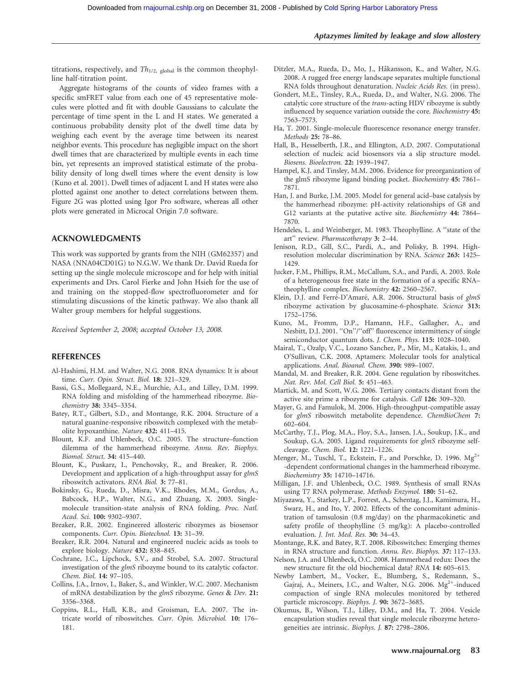#### Aptazymes limited by leakage and slow allostery

titrations, respectively, and  $Th<sub>1/2</sub>$ , global is the common theophylline half-titration point.

Aggregate histograms of the counts of video frames with a specific smFRET value from each one of 45 representative molecules were plotted and fit with double Gaussians to calculate the percentage of time spent in the L and H states. We generated a continuous probability density plot of the dwell time data by weighing each event by the average time between its nearest neighbor events. This procedure has negligible impact on the short dwell times that are characterized by multiple events in each time bin, yet represents an improved statistical estimate of the probability density of long dwell times where the event density is low (Kuno et al. 2001). Dwell times of adjacent L and H states were also plotted against one another to detect correlations between them. Figure 2G was plotted using Igor Pro software, whereas all other plots were generated in Microcal Origin 7.0 software.

## ACKNOWLEDGMENTS

This work was supported by grants from the NIH (GM62357) and NASA (NNA04CD01G) to N.G.W. We thank Dr. David Rueda for setting up the single molecule microscope and for help with initial experiments and Drs. Carol Fierke and John Hsieh for the use of and training on the stopped-flow spectrofluorometer and for stimulating discussions of the kinetic pathway. We also thank all Walter group members for helpful suggestions.

Received September 2, 2008; accepted October 13, 2008.

## REFERENCES

- Al-Hashimi, H.M. and Walter, N.G. 2008. RNA dynamics: It is about time. Curr. Opin. Struct. Biol. 18: 321–329.
- Bassi, G.S., Mollegaard, N.E., Murchie, A.I., and Lilley, D.M. 1999. RNA folding and misfolding of the hammerhead ribozyme. Biochemistry 38: 3345–3354.
- Batey, R.T., Gilbert, S.D., and Montange, R.K. 2004. Structure of a natural guanine-responsive riboswitch complexed with the metabolite hypoxanthine. Nature 432: 411–415.
- Blount, K.F. and Uhlenbeck, O.C. 2005. The structure–function dilemma of the hammerhead ribozyme. Annu. Rev. Biophys. Biomol. Struct. 34: 415–440.
- Blount, K., Puskarz, I., Penchovsky, R., and Breaker, R. 2006. Development and application of a high-throughput assay for glmS riboswitch activators. RNA Biol. 3: 77–81.
- Bokinsky, G., Rueda, D., Misra, V.K., Rhodes, M.M., Gordus, A., Babcock, H.P., Walter, N.G., and Zhuang, X. 2003. Singlemolecule transition-state analysis of RNA folding. Proc. Natl. Acad. Sci. 100: 9302–9307.
- Breaker, R.R. 2002. Engineered allosteric ribozymes as biosensor components. Curr. Opin. Biotechnol. 13: 31–39.
- Breaker, R.R. 2004. Natural and engineered nucleic acids as tools to explore biology. Nature 432: 838–845.
- Cochrane, J.C., Lipchock, S.V., and Strobel, S.A. 2007. Structural investigation of the *glmS* ribozyme bound to its catalytic cofactor. Chem. Biol. 14: 97–105.
- Collins, J.A., Irnov, I., Baker, S., and Winkler, W.C. 2007. Mechanism of mRNA destabilization by the glmS ribozyme. Genes & Dev. 21: 3356–3368.
- Coppins, R.L., Hall, K.B., and Groisman, E.A. 2007. The intricate world of riboswitches. Curr. Opin. Microbiol. 10: 176– 181.
- Ditzler, M.A., Rueda, D., Mo, J., Håkansson, K., and Walter, N.G. 2008. A rugged free energy landscape separates multiple functional RNA folds throughout denaturation. Nucleic Acids Res. (in press).
- Gondert, M.E., Tinsley, R.A., Rueda, D., and Walter, N.G. 2006. The catalytic core structure of the trans-acting HDV ribozyme is subtly influenced by sequence variation outside the core. Biochemistry 45: 7563–7573.
- Ha, T. 2001. Single-molecule fluorescence resonance energy transfer. Methods 25: 78–86.
- Hall, B., Hesselberth, J.R., and Ellington, A.D. 2007. Computational selection of nucleic acid biosensors via a slip structure model. Biosens. Bioelectron. 22: 1939–1947.
- Hampel, K.J. and Tinsley, M.M. 2006. Evidence for preorganization of the glmS ribozyme ligand binding pocket. Biochemistry 45: 7861– 7871.
- Han, J. and Burke, J.M. 2005. Model for general acid–base catalysis by the hammerhead ribozyme: pH-activity relationships of G8 and G12 variants at the putative active site. Biochemistry 44: 7864– 7870.
- Hendeles, L. and Weinberger, M. 1983. Theophylline. A ''state of the art'' review. Pharmacotherapy 3: 2–44.
- Jenison, R.D., Gill, S.C., Pardi, A., and Polisky, B. 1994. Highresolution molecular discrimination by RNA. Science 263: 1425– 1429.
- Jucker, F.M., Phillips, R.M., McCallum, S.A., and Pardi, A. 2003. Role of a heterogeneous free state in the formation of a specific RNA– theophylline complex. Biochemistry 42: 2560–2567.
- Klein, D.J. and Ferré-D'Amaré, A.R. 2006. Structural basis of glmS ribozyme activation by glucosamine-6-phosphate. Science 313: 1752–1756.
- Kuno, M., Fromm, D.P., Hamann, H.F., Gallagher, A., and Nesbitt, D.J. 2001. "On"/"off" fluorescence intermittency of single semiconductor quantum dots. J. Chem. Phys. 115: 1028–1040.
- Mairal, T., Ozalp, V.C., Lozano Sanchez, P., Mir, M., Katakis, I., and O'Sullivan, C.K. 2008. Aptamers: Molecular tools for analytical applications. Anal. Bioanal. Chem. 390: 989–1007.
- Mandal, M. and Breaker, R.R. 2004. Gene regulation by riboswitches. Nat. Rev. Mol. Cell Biol. 5: 451–463.
- Martick, M. and Scott, W.G. 2006. Tertiary contacts distant from the active site prime a ribozyme for catalysis. Cell 126: 309–320.
- Mayer, G. and Famulok, M. 2006. High-throughput-compatible assay for glmS riboswitch metabolite dependence. ChemBioChem 7: 602–604.
- McCarthy, T.J., Plog, M.A., Floy, S.A., Jansen, J.A., Soukup, J.K., and Soukup, G.A. 2005. Ligand requirements for glmS ribozyme selfcleavage. Chem. Biol. 12: 1221–1226.
- Menger, M., Tuschl, T., Eckstein, F., and Porschke, D. 1996.  $Mg^{2+}$ -dependent conformational changes in the hammerhead ribozyme. Biochemistry 35: 14710–14716.
- Milligan, J.F. and Uhlenbeck, O.C. 1989. Synthesis of small RNAs using T7 RNA polymerase. Methods Enzymol. 180: 51–62.
- Miyazawa, Y., Starkey, L.P., Forrest, A., Schentag, J.J., Kamimura, H., Swarz, H., and Ito, Y. 2002. Effects of the concomitant administration of tamsulosin (0.8 mg/day) on the pharmacokinetic and safety profile of theophylline (5 mg/kg): A placebo-controlled evaluation. J. Int. Med. Res. 30: 34–43.
- Montange, R.K. and Batey, R.T. 2008. Riboswitches: Emerging themes in RNA structure and function. Annu. Rev. Biophys. 37: 117–133.
- Nelson, J.A. and Uhlenbeck, O.C. 2008. Hammerhead redux: Does the new structure fit the old biochemical data? RNA 14: 605–615.
- Newby Lambert, M., Vocker, E., Blumberg, S., Redemann, S., Gajraj, A., Meiners, J.C., and Walter, N.G. 2006.  $Mg^{2+}$ -induced compaction of single RNA molecules monitored by tethered particle microscopy. Biophys. J. 90: 3672–3685.
- Okumus, B., Wilson, T.J., Lilley, D.M., and Ha, T. 2004. Vesicle encapsulation studies reveal that single molecule ribozyme heterogeneities are intrinsic. Biophys. J. 87: 2798–2806.